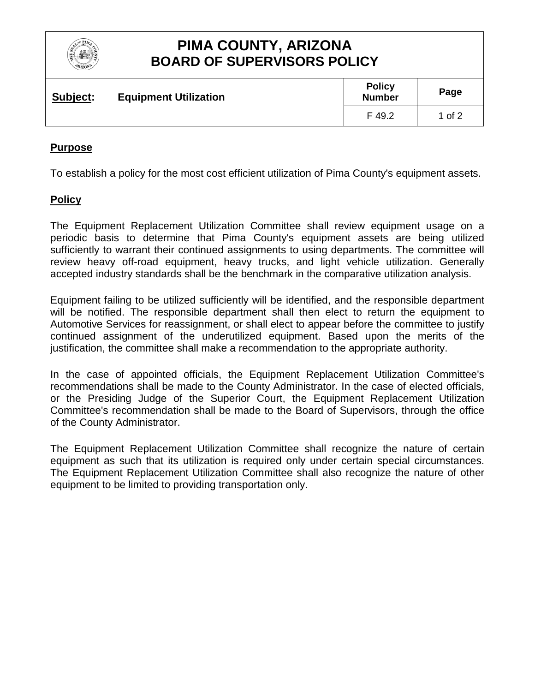

# **PIMA COUNTY, ARIZONA BOARD OF SUPERVISORS POLICY**

| Subject: | <b>Equipment Utilization</b> | <b>Policy</b><br><b>Number</b> | Page   |
|----------|------------------------------|--------------------------------|--------|
|          |                              | F 49.2                         | 1 of 2 |

### **Purpose**

To establish a policy for the most cost efficient utilization of Pima County's equipment assets.

### **Policy**

The Equipment Replacement Utilization Committee shall review equipment usage on a periodic basis to determine that Pima County's equipment assets are being utilized sufficiently to warrant their continued assignments to using departments. The committee will review heavy off-road equipment, heavy trucks, and light vehicle utilization. Generally accepted industry standards shall be the benchmark in the comparative utilization analysis.

Equipment failing to be utilized sufficiently will be identified, and the responsible department will be notified. The responsible department shall then elect to return the equipment to Automotive Services for reassignment, or shall elect to appear before the committee to justify continued assignment of the underutilized equipment. Based upon the merits of the justification, the committee shall make a recommendation to the appropriate authority.

In the case of appointed officials, the Equipment Replacement Utilization Committee's recommendations shall be made to the County Administrator. In the case of elected officials, or the Presiding Judge of the Superior Court, the Equipment Replacement Utilization Committee's recommendation shall be made to the Board of Supervisors, through the office of the County Administrator.

The Equipment Replacement Utilization Committee shall recognize the nature of certain equipment as such that its utilization is required only under certain special circumstances. The Equipment Replacement Utilization Committee shall also recognize the nature of other equipment to be limited to providing transportation only.